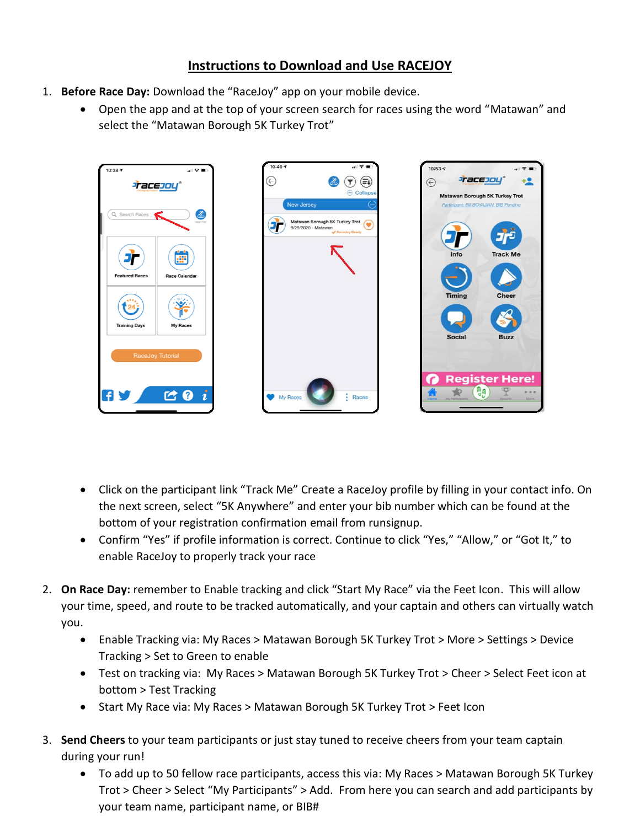## **Instructions to Download and Use RACEJOY**

- 1. **Before Race Day:** Download the "RaceJoy" app on your mobile device.
	- Open the app and at the top of your screen search for races using the word "Matawan" and select the "Matawan Borough 5K Turkey Trot"



- Click on the participant link "Track Me" Create a RaceJoy profile by filling in your contact info. On the next screen, select "5K Anywhere" and enter your bib number which can be found at the bottom of your registration confirmation email from runsignup.
- Confirm "Yes" if profile information is correct. Continue to click "Yes," "Allow," or "Got It," to enable RaceJoy to properly track your race
- 2. **On Race Day:** remember to Enable tracking and click "Start My Race" via the Feet Icon. This will allow your time, speed, and route to be tracked automatically, and your captain and others can virtually watch you.
	- Enable Tracking via: My Races > Matawan Borough 5K Turkey Trot > More > Settings > Device Tracking > Set to Green to enable
	- Test on tracking via: My Races > Matawan Borough 5K Turkey Trot > Cheer > Select Feet icon at bottom > Test Tracking
	- Start My Race via: My Races > Matawan Borough 5K Turkey Trot > Feet Icon
- 3. **Send Cheers** to your team participants or just stay tuned to receive cheers from your team captain during your run!
	- To add up to 50 fellow race participants, access this via: My Races > Matawan Borough 5K Turkey Trot > Cheer > Select "My Participants" > Add. From here you can search and add participants by your team name, participant name, or BIB#